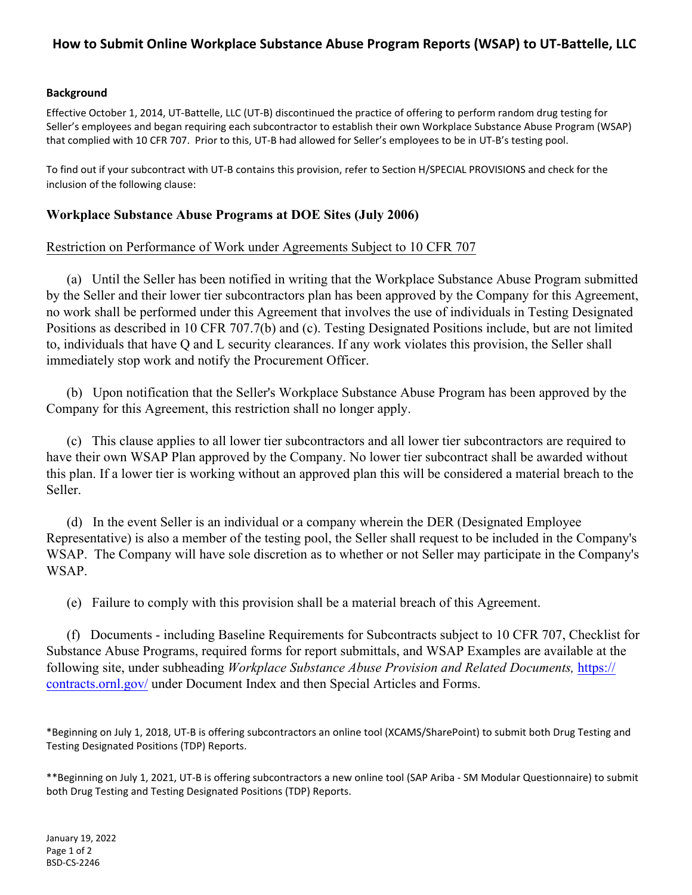# **How to Submit Online Workplace Substance Abuse Program Reports (WSAP) to UT-Battelle, LLC**

### **Background**

Effective October 1, 2014, UT-Battelle, LLC (UT-B) discontinued the practice of offering to perform random drug testing for Seller's employees and began requiring each subcontractor to establish their own Workplace Substance Abuse Program (WSAP) that complied with 10 CFR 707. Prior to this, UT-B had allowed for Seller's employees to be in UT-B's testing pool.

To find out if your subcontract with UT-B contains this provision, refer to Section H/SPECIAL PROVISIONS and check for the inclusion of the following clause:

### **Workplace Substance Abuse Programs at DOE Sites (July 2006)**

### Restriction on Performance of Work under Agreements Subject to 10 CFR 707

(a) Until the Seller has been notified in writing that the Workplace Substance Abuse Program submitted by the Seller and their lower tier subcontractors plan has been approved by the Company for this Agreement, no work shall be performed under this Agreement that involves the use of individuals in Testing Designated Positions as described in 10 CFR 707.7(b) and (c). Testing Designated Positions include, but are not limited to, individuals that have Q and L security clearances. If any work violates this provision, the Seller shall immediately stop work and notify the Procurement Officer.

(b) Upon notification that the Seller's Workplace Substance Abuse Program has been approved by the Company for this Agreement, this restriction shall no longer apply.

(c) This clause applies to all lower tier subcontractors and all lower tier subcontractors are required to have their own WSAP Plan approved by the Company. No lower tier subcontract shall be awarded without this plan. If a lower tier is working without an approved plan this will be considered a material breach to the Seller.

(d) In the event Seller is an individual or a company wherein the DER (Designated Employee Representative) is also a member of the testing pool, the Seller shall request to be included in the Company's WSAP. The Company will have sole discretion as to whether or not Seller may participate in the Company's WSAP.

(e) Failure to comply with this provision shall be a material breach of this Agreement.

(f) Documents - including Baseline Requirements for Subcontracts subject to 10 CFR 707, Checklist for Substance Abuse Programs, required forms for report submittals, and WSAP Examples are available at the following site, under subheading *Workplace Substance Abuse Provision and Related Documents,* https:// contracts.ornl.gov/ [under Document Index and then Special Articles and Forms.](https://contracts.ornl.gov/)

\*Beginning on July 1, 2018, UT-B is offering subcontractors an online tool (XCAMS/SharePoint) to submit both Drug Testing and Testing Designated Positions (TDP) Reports.

\*\*Beginning on July 1, 2021, UT-B is offering subcontractors a new online tool (SAP Ariba - SM Modular Questionnaire) to submit both Drug Testing and Testing Designated Positions (TDP) Reports.

January 19, 2022 Page 1 of 2 BSD-CS-2246